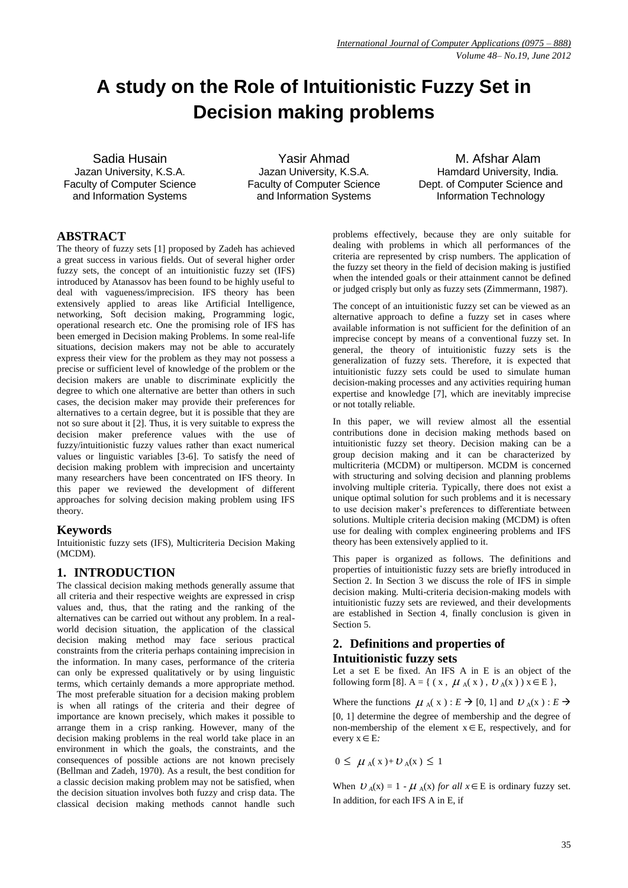# **A study on the Role of Intuitionistic Fuzzy Set in Decision making problems**

Sadia Husain Jazan University, K.S.A. Faculty of Computer Science and Information Systems

Yasir Ahmad Jazan University, K.S.A. Faculty of Computer Science and Information Systems

M. Afshar Alam Hamdard University, India. Dept. of Computer Science and Information Technology

# **ABSTRACT**

The theory of fuzzy sets [1] proposed by Zadeh has achieved a great success in various fields. Out of several higher order fuzzy sets, the concept of an intuitionistic fuzzy set (IFS) introduced by Atanassov has been found to be highly useful to deal with vagueness/imprecision. IFS theory has been extensively applied to areas like Artificial Intelligence, networking, Soft decision making, Programming logic, operational research etc. One the promising role of IFS has been emerged in Decision making Problems. In some real-life situations, decision makers may not be able to accurately express their view for the problem as they may not possess a precise or sufficient level of knowledge of the problem or the decision makers are unable to discriminate explicitly the degree to which one alternative are better than others in such cases, the decision maker may provide their preferences for alternatives to a certain degree, but it is possible that they are not so sure about it [2]. Thus, it is very suitable to express the decision maker preference values with the use of fuzzy/intuitionistic fuzzy values rather than exact numerical values or linguistic variables [3-6]. To satisfy the need of decision making problem with imprecision and uncertainty many researchers have been concentrated on IFS theory. In this paper we reviewed the development of different approaches for solving decision making problem using IFS theory.

#### **Keywords**

Intuitionistic fuzzy sets (IFS), Multicriteria Decision Making (MCDM).

# **1. INTRODUCTION**

The classical decision making methods generally assume that all criteria and their respective weights are expressed in crisp values and, thus, that the rating and the ranking of the alternatives can be carried out without any problem. In a realworld decision situation, the application of the classical decision making method may face serious practical constraints from the criteria perhaps containing imprecision in the information. In many cases, performance of the criteria can only be expressed qualitatively or by using linguistic terms, which certainly demands a more appropriate method. The most preferable situation for a decision making problem is when all ratings of the criteria and their degree of importance are known precisely, which makes it possible to arrange them in a crisp ranking. However, many of the decision making problems in the real world take place in an environment in which the goals, the constraints, and the consequences of possible actions are not known precisely (Bellman and Zadeh, 1970). As a result, the best condition for a classic decision making problem may not be satisfied, when the decision situation involves both fuzzy and crisp data. The classical decision making methods cannot handle such

problems effectively, because they are only suitable for dealing with problems in which all performances of the criteria are represented by crisp numbers. The application of the fuzzy set theory in the field of decision making is justified when the intended goals or their attainment cannot be defined or judged crisply but only as fuzzy sets (Zimmermann, 1987).

The concept of an intuitionistic fuzzy set can be viewed as an alternative approach to define a fuzzy set in cases where available information is not sufficient for the definition of an imprecise concept by means of a conventional fuzzy set. In general, the theory of intuitionistic fuzzy sets is the generalization of fuzzy sets. Therefore, it is expected that intuitionistic fuzzy sets could be used to simulate human decision-making processes and any activities requiring human expertise and knowledge [7], which are inevitably imprecise or not totally reliable.

In this paper, we will review almost all the essential contributions done in decision making methods based on intuitionistic fuzzy set theory. Decision making can be a group decision making and it can be characterized by multicriteria (MCDM) or multiperson. MCDM is concerned with structuring and solving decision and planning problems involving multiple criteria. Typically, there does not exist a unique optimal solution for such problems and it is necessary to use decision maker's preferences to differentiate between solutions. Multiple criteria decision making (MCDM) is often use for dealing with complex engineering problems and IFS theory has been extensively applied to it.

This paper is organized as follows. The definitions and properties of intuitionistic fuzzy sets are briefly introduced in Section 2. In Section 3 we discuss the role of IFS in simple decision making. Multi-criteria decision-making models with intuitionistic fuzzy sets are reviewed, and their developments are established in Section 4, finally conclusion is given in Section 5.

# **2. Definitions and properties of Intuitionistic fuzzy sets**

Let a set E be fixed. An IFS A in E is an object of the following form [8]. A = { (x,  $\mu_A(x)$ ,  $U_A(x)$ )  $x \in E$ },

Where the functions  $\mu_A(x): E \to [0, 1]$  and  $U_A(x): E \to$ [0, 1] determine the degree of membership and the degree of non-membership of the element  $x \in E$ , respectively, and for every x E*:*

$$
0 \leq \mu_A(x) + U_A(x) \leq 1
$$

When  $U_A(x) = 1 - \mu_A(x)$  *for all*  $x \in E$  is ordinary fuzzy set. In addition, for each IFS A in E, if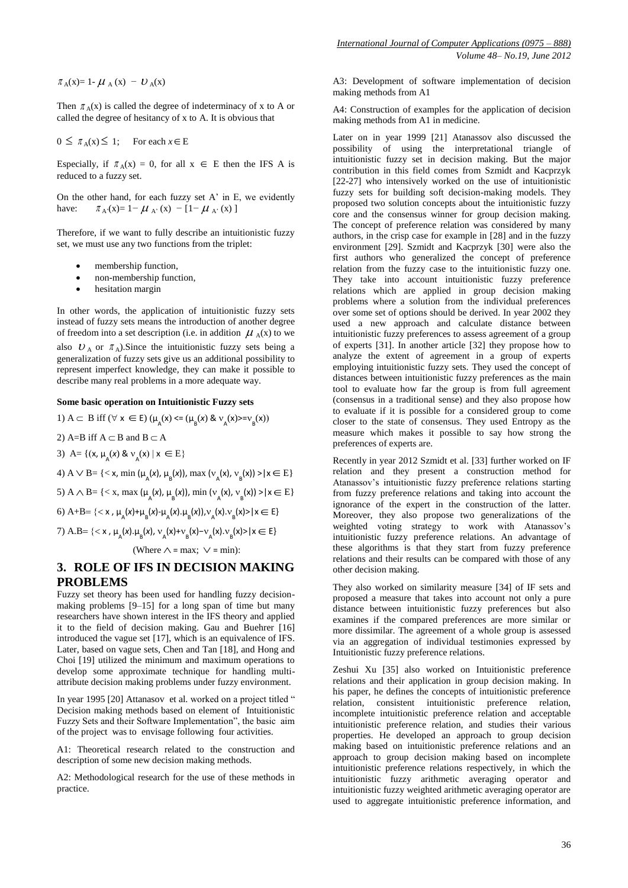Then  $\pi_A(x)$  is called the degree of indeterminacy of x to A or called the degree of hesitancy of x to A. It is obvious that

$$
0 \leq \pi_A(x) \leq 1; \quad \text{For each } x \in E
$$

Especially, if  $\pi_A(x) = 0$ , for all  $x \in E$  then the IFS A is reduced to a fuzzy set.

On the other hand, for each fuzzy set A' in E, we evidently have:  $\pi_{A}(x) = 1 - \mu_{A}(x) - [1 - \mu_{A}(x)]$ 

Therefore, if we want to fully describe an intuitionistic fuzzy set, we must use any two functions from the triplet:

- membership function,
- non-membership function,
- hesitation margin

In other words, the application of intuitionistic fuzzy sets instead of fuzzy sets means the introduction of another degree of freedom into a set description (i.e. in addition  $\mu_A(x)$  to we also  $U_A$  or  $\pi_A$ ). Since the intuitionistic fuzzy sets being a generalization of fuzzy sets give us an additional possibility to represent imperfect knowledge, they can make it possible to describe many real problems in a more adequate way.

#### **Some basic operation on Intuitionistic Fuzzy sets**

1)  $A \subset B$  iff  $(\forall x \in E)$  ( $\mu_A(x) \leq (\mu_B(x) \& v_A(x) > v_B(x))$ 2) A=B iff  $A \subset B$  and  $B \subset A$ 3) A= { $(x, \mu_A(x) \& v_A(x) | x \in E$ } 4) A  $\vee$  B= { < x, min ( $\mu$ <sub>A</sub>(x),  $\mu$ <sub>B</sub>(x)), max ( $v$ <sub>A</sub>(x),  $v$ <sub>B</sub>(x)) > | x ∈ E } 5) A  $\wedge$  B= { < x, max ( $\mu$ <sub>A</sub>(x),  $\mu$ <sub>B</sub>(x)), min ( $v$ <sub>A</sub>(x),  $v$ <sub>B</sub>(x)) > | x 
E } 6) A+B= { $\langle x, \mu_A(x) + \mu_B(x) - \mu_A(x), \mu_B(x) \rangle$ , $v_A(x), v_B(x) > | x \in E$ } 7)  $A.B = \{ < x , \mu_A(x). \mu_B(x), v_A(x)+v_B(x)-v_A(x). v_B(x)> | x \in E \}$ (Where  $\wedge$  = max;  $\vee$  = min):

# **3. ROLE OF IFS IN DECISION MAKING PROBLEMS**

Fuzzy set theory has been used for handling fuzzy decisionmaking problems [9–15] for a long span of time but many researchers have shown interest in the IFS theory and applied it to the field of decision making. Gau and Buehrer [16] introduced the vague set [17], which is an equivalence of IFS. Later, based on vague sets, Chen and Tan [18], and Hong and Choi [19] utilized the minimum and maximum operations to develop some approximate technique for handling multiattribute decision making problems under fuzzy environment.

In year 1995 [20] Attanasov et al. worked on a project titled " Decision making methods based on element of Intuitionistic Fuzzy Sets and their Software Implementation", the basic aim of the project was to envisage following four activities.

A1: Theoretical research related to the construction and description of some new decision making methods.

A2: Methodological research for the use of these methods in practice.

A3: Development of software implementation of decision making methods from A1

A4: Construction of examples for the application of decision making methods from A1 in medicine.

5 A(ii)  $P_{\text{A}}(x) = P_{\text{A}}(x) - \frac{1}{2}P_{\text{A}}(x) = \frac{1}{2}P_{\text{A}}(x) - \frac{1}{2}P_{\text{A}}(x) = \frac{1}{2}P_{\text{A}}(x) - \frac{1}{2}P_{\text{A}}(x) = \frac{1}{2}P_{\text{A}}(x) - \frac{1}{2}P_{\text{A}}(x) = \frac{1}{2}P_{\text{A}}(x) - \frac{1}{2}P_{\text{A}}(x) = \frac{1}{2}P_{\text{A}}(x) - \frac{1}{2}$ Later on in year 1999 [21] Atanassov also discussed the possibility of using the interpretational triangle of intuitionistic fuzzy set in decision making. But the major contribution in this field comes from Szmidt and Kacprzyk [22-27] who intensively worked on the use of intuitionistic fuzzy sets for building soft decision-making models. They proposed two solution concepts about the intuitionistic fuzzy core and the consensus winner for group decision making. The concept of preference relation was considered by many authors, in the crisp case for example in [28] and in the fuzzy environment [29]. Szmidt and Kacprzyk [30] were also the first authors who generalized the concept of preference relation from the fuzzy case to the intuitionistic fuzzy one. They take into account intuitionistic fuzzy preference relations which are applied in group decision making problems where a solution from the individual preferences over some set of options should be derived. In year 2002 they used a new approach and calculate distance between intuitionistic fuzzy preferences to assess agreement of a group of experts [31]. In another article [32] they propose how to analyze the extent of agreement in a group of experts employing intuitionistic fuzzy sets. They used the concept of distances between intuitionistic fuzzy preferences as the main tool to evaluate how far the group is from full agreement (consensus in a traditional sense) and they also propose how to evaluate if it is possible for a considered group to come closer to the state of consensus. They used Entropy as the measure which makes it possible to say how strong the preferences of experts are.

Recently in year 2012 Szmidt et al. [33] further worked on IF relation and they present a construction method for Atanassov's intuitionistic fuzzy preference relations starting from fuzzy preference relations and taking into account the ignorance of the expert in the construction of the latter. Moreover, they also propose two generalizations of the weighted voting strategy to work with Atanassov's intuitionistic fuzzy preference relations. An advantage of these algorithms is that they start from fuzzy preference relations and their results can be compared with those of any other decision making.

They also worked on similarity measure [34] of IF sets and proposed a measure that takes into account not only a pure distance between intuitionistic fuzzy preferences but also examines if the compared preferences are more similar or more dissimilar. The agreement of a whole group is assessed via an aggregation of individual testimonies expressed by Intuitionistic fuzzy preference relations.

Zeshui Xu [35] also worked on Intuitionistic preference relations and their application in group decision making. In his paper, he defines the concepts of intuitionistic preference relation, consistent intuitionistic preference relation, incomplete intuitionistic preference relation and acceptable intuitionistic preference relation, and studies their various properties. He developed an approach to group decision making based on intuitionistic preference relations and an approach to group decision making based on incomplete intuitionistic preference relations respectively, in which the intuitionistic fuzzy arithmetic averaging operator and intuitionistic fuzzy weighted arithmetic averaging operator are used to aggregate intuitionistic preference information, and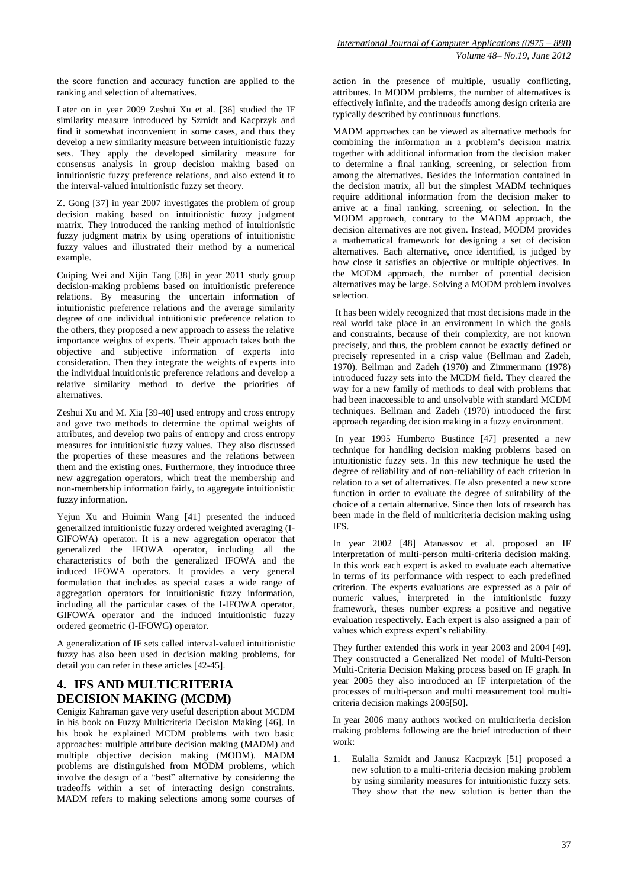the score function and accuracy function are applied to the ranking and selection of alternatives.

Later on in year 2009 Zeshui Xu et al. [36] studied the IF similarity measure introduced by Szmidt and Kacprzyk and find it somewhat inconvenient in some cases, and thus they develop a new similarity measure between intuitionistic fuzzy sets. They apply the developed similarity measure for consensus analysis in group decision making based on intuitionistic fuzzy preference relations, and also extend it to the interval-valued intuitionistic fuzzy set theory.

Z. Gong [37] in year 2007 investigates the problem of group decision making based on intuitionistic fuzzy judgment matrix. They introduced the ranking method of intuitionistic fuzzy judgment matrix by using operations of intuitionistic fuzzy values and illustrated their method by a numerical example.

Cuiping Wei and Xijin Tang [38] in year 2011 study group decision-making problems based on intuitionistic preference relations. By measuring the uncertain information of intuitionistic preference relations and the average similarity degree of one individual intuitionistic preference relation to the others, they proposed a new approach to assess the relative importance weights of experts. Their approach takes both the objective and subjective information of experts into consideration. Then they integrate the weights of experts into the individual intuitionistic preference relations and develop a relative similarity method to derive the priorities of alternatives.

Zeshui Xu and M. Xia [39-40] used entropy and cross entropy and gave two methods to determine the optimal weights of attributes, and develop two pairs of entropy and cross entropy measures for intuitionistic fuzzy values. They also discussed the properties of these measures and the relations between them and the existing ones. Furthermore, they introduce three new aggregation operators, which treat the membership and non-membership information fairly, to aggregate intuitionistic fuzzy information.

Yejun Xu and Huimin Wang [41] presented the induced generalized intuitionistic fuzzy ordered weighted averaging (I-GIFOWA) operator. It is a new aggregation operator that generalized the IFOWA operator, including all the characteristics of both the generalized IFOWA and the induced IFOWA operators. It provides a very general formulation that includes as special cases a wide range of aggregation operators for intuitionistic fuzzy information, including all the particular cases of the I-IFOWA operator, GIFOWA operator and the induced intuitionistic fuzzy ordered geometric (I-IFOWG) operator.

A generalization of IF sets called interval-valued intuitionistic fuzzy has also been used in decision making problems, for detail you can refer in these articles [42-45].

# **4. IFS AND MULTICRITERIA DECISION MAKING (MCDM)**

Cenigiz Kahraman gave very useful description about MCDM in his book on Fuzzy Multicriteria Decision Making [46]. In his book he explained MCDM problems with two basic approaches: multiple attribute decision making (MADM) and multiple objective decision making (MODM). MADM problems are distinguished from MODM problems, which involve the design of a "best" alternative by considering the tradeoffs within a set of interacting design constraints. MADM refers to making selections among some courses of action in the presence of multiple, usually conflicting, attributes. In MODM problems, the number of alternatives is effectively infinite, and the tradeoffs among design criteria are typically described by continuous functions.

MADM approaches can be viewed as alternative methods for combining the information in a problem's decision matrix together with additional information from the decision maker to determine a final ranking, screening, or selection from among the alternatives. Besides the information contained in the decision matrix, all but the simplest MADM techniques require additional information from the decision maker to arrive at a final ranking, screening, or selection. In the MODM approach, contrary to the MADM approach, the decision alternatives are not given. Instead, MODM provides a mathematical framework for designing a set of decision alternatives. Each alternative, once identified, is judged by how close it satisfies an objective or multiple objectives. In the MODM approach, the number of potential decision alternatives may be large. Solving a MODM problem involves selection.

It has been widely recognized that most decisions made in the real world take place in an environment in which the goals and constraints, because of their complexity, are not known precisely, and thus, the problem cannot be exactly defined or precisely represented in a crisp value (Bellman and Zadeh, 1970). Bellman and Zadeh (1970) and Zimmermann (1978) introduced fuzzy sets into the MCDM field. They cleared the way for a new family of methods to deal with problems that had been inaccessible to and unsolvable with standard MCDM techniques. Bellman and Zadeh (1970) introduced the first approach regarding decision making in a fuzzy environment.

In year 1995 Humberto Bustince [47] presented a new technique for handling decision making problems based on intuitionistic fuzzy sets. In this new technique he used the degree of reliability and of non-reliability of each criterion in relation to a set of alternatives. He also presented a new score function in order to evaluate the degree of suitability of the choice of a certain alternative. Since then lots of research has been made in the field of multicriteria decision making using IFS.

In year 2002 [48] Atanassov et al. proposed an IF interpretation of multi-person multi-criteria decision making. In this work each expert is asked to evaluate each alternative in terms of its performance with respect to each predefined criterion. The experts evaluations are expressed as a pair of numeric values, interpreted in the intuitionistic fuzzy framework, theses number express a positive and negative evaluation respectively. Each expert is also assigned a pair of values which express expert's reliability.

They further extended this work in year 2003 and 2004 [49]. They constructed a Generalized Net model of Multi-Person Multi-Criteria Decision Making process based on IF graph. In year 2005 they also introduced an IF interpretation of the processes of multi-person and multi measurement tool multicriteria decision makings 2005[50].

In year 2006 many authors worked on multicriteria decision making problems following are the brief introduction of their work:

1. Eulalia Szmidt and Janusz Kacprzyk [51] proposed a new solution to a multi-criteria decision making problem by using similarity measures for intuitionistic fuzzy sets. They show that the new solution is better than the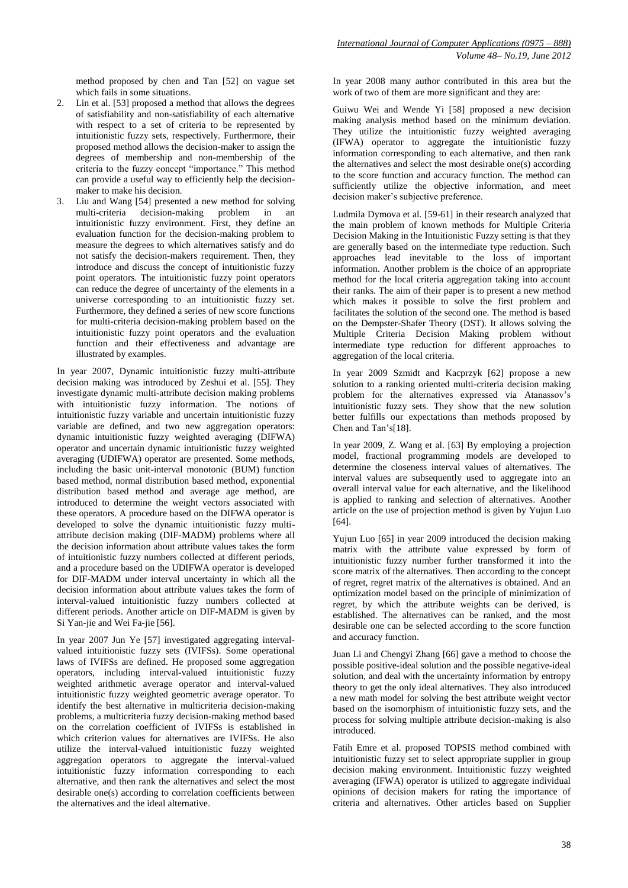method proposed by chen and Tan [52] on vague set which fails in some situations.

- 2. Lin et al. [53] proposed a method that allows the degrees of satisfiability and non-satisfiability of each alternative with respect to a set of criteria to be represented by intuitionistic fuzzy sets, respectively. Furthermore, their proposed method allows the decision-maker to assign the degrees of membership and non-membership of the criteria to the fuzzy concept "importance." This method can provide a useful way to efficiently help the decisionmaker to make his decision.
- 3. Liu and Wang [54] presented a new method for solving multi-criteria decision-making problem in an intuitionistic fuzzy environment. First, they define an evaluation function for the decision-making problem to measure the degrees to which alternatives satisfy and do not satisfy the decision-makers requirement. Then, they introduce and discuss the concept of intuitionistic fuzzy point operators. The intuitionistic fuzzy point operators can reduce the degree of uncertainty of the elements in a universe corresponding to an intuitionistic fuzzy set. Furthermore, they defined a series of new score functions for multi-criteria decision-making problem based on the intuitionistic fuzzy point operators and the evaluation function and their effectiveness and advantage are illustrated by examples.

In year 2007, Dynamic intuitionistic fuzzy multi-attribute decision making was introduced by Zeshui et al. [55]. They investigate dynamic multi-attribute decision making problems with intuitionistic fuzzy information. The notions of intuitionistic fuzzy variable and uncertain intuitionistic fuzzy variable are defined, and two new aggregation operators: dynamic intuitionistic fuzzy weighted averaging (DIFWA) operator and uncertain dynamic intuitionistic fuzzy weighted averaging (UDIFWA) operator are presented. Some methods, including the basic unit-interval monotonic (BUM) function based method, normal distribution based method, exponential distribution based method and average age method, are introduced to determine the weight vectors associated with these operators. A procedure based on the DIFWA operator is developed to solve the dynamic intuitionistic fuzzy multiattribute decision making (DIF-MADM) problems where all the decision information about attribute values takes the form of intuitionistic fuzzy numbers collected at different periods, and a procedure based on the UDIFWA operator is developed for DIF-MADM under interval uncertainty in which all the decision information about attribute values takes the form of interval-valued intuitionistic fuzzy numbers collected at different periods. Another article on DIF-MADM is given by Si Yan-jie and Wei Fa-jie [56].

In year 2007 Jun Ye [57] investigated aggregating intervalvalued intuitionistic fuzzy sets (IVIFSs). Some operational laws of IVIFSs are defined. He proposed some aggregation operators, including interval-valued intuitionistic fuzzy weighted arithmetic average operator and interval-valued intuitionistic fuzzy weighted geometric average operator. To identify the best alternative in multicriteria decision-making problems, a multicriteria fuzzy decision-making method based on the correlation coefficient of IVIFSs is established in which criterion values for alternatives are IVIFSs. He also utilize the interval-valued intuitionistic fuzzy weighted aggregation operators to aggregate the interval-valued intuitionistic fuzzy information corresponding to each alternative, and then rank the alternatives and select the most desirable one(s) according to correlation coefficients between the alternatives and the ideal alternative.

In year 2008 many author contributed in this area but the work of two of them are more significant and they are:

Guiwu Wei and Wende Yi [58] proposed a new decision making analysis method based on the minimum deviation. They utilize the intuitionistic fuzzy weighted averaging (IFWA) operator to aggregate the intuitionistic fuzzy information corresponding to each alternative, and then rank the alternatives and select the most desirable one(s) according to the score function and accuracy function. The method can sufficiently utilize the objective information, and meet decision maker's subjective preference.

Ludmila Dymova et al. [59-61] in their research analyzed that the main problem of known methods for Multiple Criteria Decision Making in the Intuitionistic Fuzzy setting is that they are generally based on the intermediate type reduction. Such approaches lead inevitable to the loss of important information. Another problem is the choice of an appropriate method for the local criteria aggregation taking into account their ranks. The aim of their paper is to present a new method which makes it possible to solve the first problem and facilitates the solution of the second one. The method is based on the Dempster-Shafer Theory (DST). It allows solving the Multiple Criteria Decision Making problem without intermediate type reduction for different approaches to aggregation of the local criteria.

In year 2009 Szmidt and Kacprzyk [62] propose a new solution to a ranking oriented multi-criteria decision making problem for the alternatives expressed via Atanassov's intuitionistic fuzzy sets. They show that the new solution better fulfills our expectations than methods proposed by Chen and Tan's[18].

In year 2009, Z. Wang et al. [63] By employing a projection model, fractional programming models are developed to determine the closeness interval values of alternatives. The interval values are subsequently used to aggregate into an overall interval value for each alternative, and the likelihood is applied to ranking and selection of alternatives. Another article on the use of projection method is given by Yujun Luo [64].

Yujun Luo [65] in year 2009 introduced the decision making matrix with the attribute value expressed by form of intuitionistic fuzzy number further transformed it into the score matrix of the alternatives. Then according to the concept of regret, regret matrix of the alternatives is obtained. And an optimization model based on the principle of minimization of regret, by which the attribute weights can be derived, is established. The alternatives can be ranked, and the most desirable one can be selected according to the score function and accuracy function.

Juan Li and Chengyi Zhang [66] gave a method to choose the possible positive-ideal solution and the possible negative-ideal solution, and deal with the uncertainty information by entropy theory to get the only ideal alternatives. They also introduced a new math model for solving the best attribute weight vector based on the isomorphism of intuitionistic fuzzy sets, and the process for solving multiple attribute decision-making is also introduced.

Fatih Emre et al. proposed TOPSIS method combined with intuitionistic fuzzy set to select appropriate supplier in group decision making environment. Intuitionistic fuzzy weighted averaging (IFWA) operator is utilized to aggregate individual opinions of decision makers for rating the importance of criteria and alternatives. Other articles based on Supplier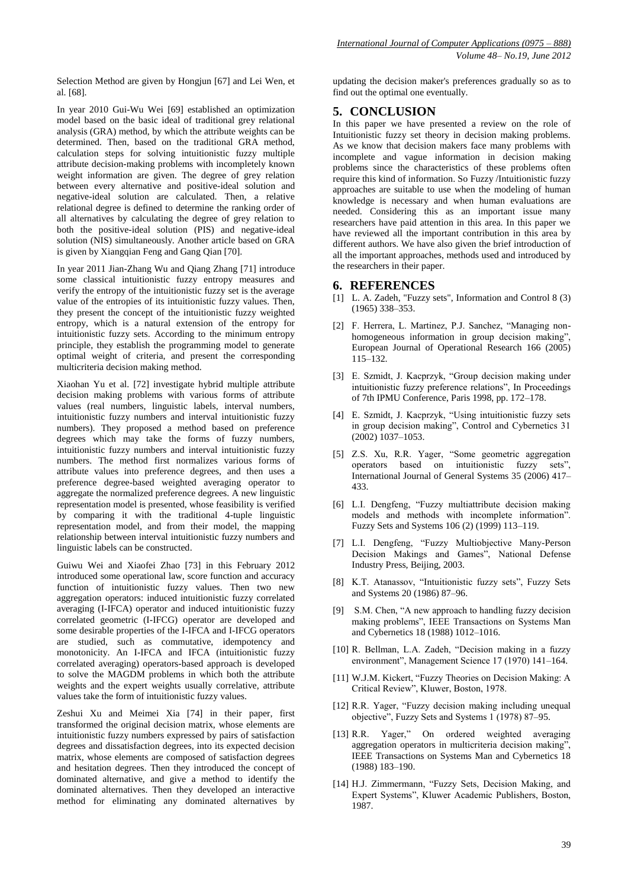Selection Method are given by Hongjun [67] and Lei Wen, et al. [68].

In year 2010 Gui-Wu Wei [69] established an optimization model based on the basic ideal of traditional grey relational analysis (GRA) method, by which the attribute weights can be determined. Then, based on the traditional GRA method, calculation steps for solving intuitionistic fuzzy multiple attribute decision-making problems with incompletely known weight information are given. The degree of grey relation between every alternative and positive-ideal solution and negative-ideal solution are calculated. Then, a relative relational degree is defined to determine the ranking order of all alternatives by calculating the degree of grey relation to both the positive-ideal solution (PIS) and negative-ideal solution (NIS) simultaneously. Another article based on GRA is given by Xiangqian Feng and Gang Qian [70].

In year 2011 Jian-Zhang Wu and Qiang Zhang [71] introduce some classical intuitionistic fuzzy entropy measures and verify the entropy of the intuitionistic fuzzy set is the average value of the entropies of its intuitionistic fuzzy values. Then, they present the concept of the intuitionistic fuzzy weighted entropy, which is a natural extension of the entropy for intuitionistic fuzzy sets. According to the minimum entropy principle, they establish the programming model to generate optimal weight of criteria, and present the corresponding multicriteria decision making method.

Xiaohan Yu et al. [72] investigate hybrid multiple attribute decision making problems with various forms of attribute values (real numbers, linguistic labels, interval numbers, intuitionistic fuzzy numbers and interval intuitionistic fuzzy numbers). They proposed a method based on preference degrees which may take the forms of fuzzy numbers, intuitionistic fuzzy numbers and interval intuitionistic fuzzy numbers. The method first normalizes various forms of attribute values into preference degrees, and then uses a preference degree-based weighted averaging operator to aggregate the normalized preference degrees. A new linguistic representation model is presented, whose feasibility is verified by comparing it with the traditional 4-tuple linguistic representation model, and from their model, the mapping relationship between interval intuitionistic fuzzy numbers and linguistic labels can be constructed.

Guiwu Wei and Xiaofei Zhao [73] in this February 2012 introduced some operational law, score function and accuracy function of intuitionistic fuzzy values. Then two new aggregation operators: induced intuitionistic fuzzy correlated averaging (I-IFCA) operator and induced intuitionistic fuzzy correlated geometric (I-IFCG) operator are developed and some desirable properties of the I-IFCA and I-IFCG operators are studied, such as commutative, idempotency and monotonicity. An I-IFCA and IFCA (intuitionistic fuzzy correlated averaging) operators-based approach is developed to solve the MAGDM problems in which both the attribute weights and the expert weights usually correlative, attribute values take the form of intuitionistic fuzzy values.

Zeshui Xu and Meimei Xia [74] in their paper, first transformed the original decision matrix, whose elements are intuitionistic fuzzy numbers expressed by pairs of satisfaction degrees and dissatisfaction degrees, into its expected decision matrix, whose elements are composed of satisfaction degrees and hesitation degrees. Then they introduced the concept of dominated alternative, and give a method to identify the dominated alternatives. Then they developed an interactive method for eliminating any dominated alternatives by

updating the decision maker's preferences gradually so as to find out the optimal one eventually.

#### **5. CONCLUSION**

In this paper we have presented a review on the role of Intuitionistic fuzzy set theory in decision making problems. As we know that decision makers face many problems with incomplete and vague information in decision making problems since the characteristics of these problems often require this kind of information. So Fuzzy /Intuitionistic fuzzy approaches are suitable to use when the modeling of human knowledge is necessary and when human evaluations are needed. Considering this as an important issue many researchers have paid attention in this area. In this paper we have reviewed all the important contribution in this area by different authors. We have also given the brief introduction of all the important approaches, methods used and introduced by the researchers in their paper.

#### **6. REFERENCES**

- [1] L. A. Zadeh, "Fuzzy sets", Information and Control 8 (3) (1965) 338–353.
- [2] F. Herrera, L. Martinez, P.J. Sanchez, "Managing nonhomogeneous information in group decision making", European Journal of Operational Research 166 (2005) 115–132.
- [3] E. Szmidt, J. Kacprzyk, "Group decision making under intuitionistic fuzzy preference relations", In Proceedings of 7th IPMU Conference, Paris 1998, pp. 172–178.
- [4] E. Szmidt, J. Kacprzyk, "Using intuitionistic fuzzy sets in group decision making", Control and Cybernetics 31 (2002) 1037–1053.
- [5] Z.S. Xu, R.R. Yager, "Some geometric aggregation operators based on intuitionistic fuzzy sets", International Journal of General Systems 35 (2006) 417– 433.
- [6] L.I. Dengfeng, "Fuzzy multiattribute decision making models and methods with incomplete information". Fuzzy Sets and Systems 106 (2) (1999) 113–119.
- [7] L.I. Dengfeng, "Fuzzy Multiobjective Many-Person Decision Makings and Games", National Defense Industry Press, Beijing, 2003.
- [8] K.T. Atanassov, "Intuitionistic fuzzy sets", Fuzzy Sets and Systems 20 (1986) 87–96.
- [9] S.M. Chen, "A new approach to handling fuzzy decision making problems", IEEE Transactions on Systems Man and Cybernetics 18 (1988) 1012–1016.
- [10] R. Bellman, L.A. Zadeh, "Decision making in a fuzzy environment". Management Science  $17(1970)$   $141-164$ .
- [11] W.J.M. Kickert, "Fuzzy Theories on Decision Making: A Critical Review‖, Kluwer, Boston, 1978.
- [12] R.R. Yager, "Fuzzy decision making including unequal objective", Fuzzy Sets and Systems 1 (1978) 87-95.
- [13] R.R. Yager," On ordered weighted averaging aggregation operators in multicriteria decision making". IEEE Transactions on Systems Man and Cybernetics 18 (1988) 183–190.
- [14] H.J. Zimmermann, "Fuzzy Sets, Decision Making, and Expert Systems", Kluwer Academic Publishers, Boston, 1987.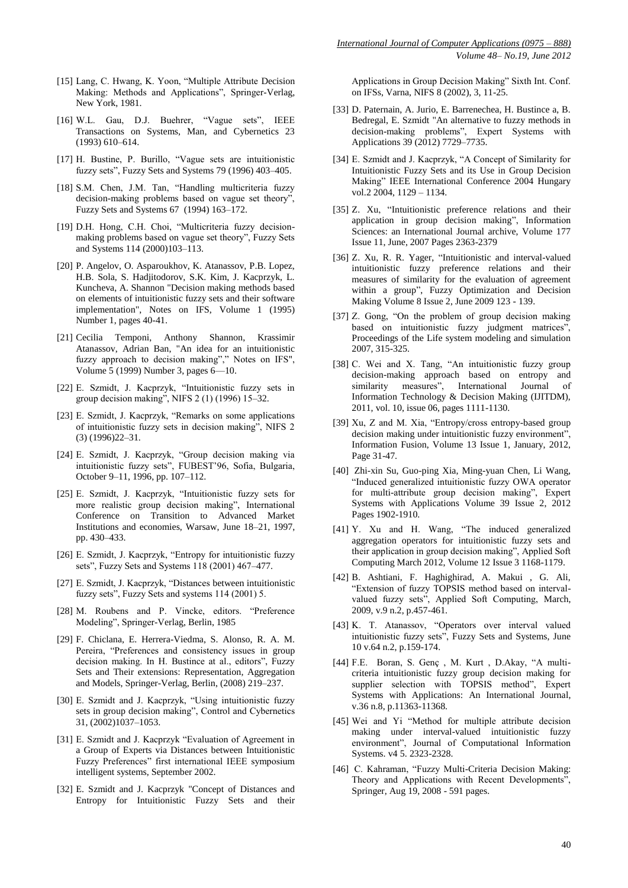- [15] Lang, C. Hwang, K. Yoon, "Multiple Attribute Decision Making: Methods and Applications", Springer-Verlag, New York, 1981.
- [16] W.L. Gau, D.J. Buehrer, "Vague sets", IEEE Transactions on Systems, Man, and Cybernetics 23 (1993) 610–614.
- [17] H. Bustine, P. Burillo, "Vague sets are intuitionistic fuzzy sets", Fuzzy Sets and Systems 79 (1996) 403-405.
- [18] S.M. Chen, J.M. Tan, "Handling multicriteria fuzzy decision-making problems based on vague set theory", Fuzzy Sets and Systems 67 (1994) 163–172.
- [19] D.H. Hong, C.H. Choi, "Multicriteria fuzzy decisionmaking problems based on vague set theory", Fuzzy Sets and Systems 114 (2000)103–113.
- [20] P. Angelov, O. Asparoukhov, K. Atanassov, P.B. Lopez, H.B. Sola, S. Hadjitodorov, S.K. Kim, J. Kacprzyk, L. Kuncheva, A. Shannon "Decision making methods based on elements of intuitionistic fuzzy sets and their software implementation", Notes on IFS, Volume 1 (1995) Number 1, pages 40-41.
- [21] Cecilia Temponi, Anthony Shannon, Krassimir Atanassov, Adrian Ban, "An idea for an intuitionistic fuzzy approach to decision making"," Notes on IFS", Volume 5 (1999) Number 3, pages 6—10.
- [22] E. Szmidt, J. Kacprzyk, "Intuitionistic fuzzy sets in group decision making", NIFS  $2(1)(1996)$  15–32.
- [23] E. Szmidt, J. Kacprzyk, "Remarks on some applications of intuitionistic fuzzy sets in decision making", NIFS 2 (3) (1996)22–31.
- [24] E. Szmidt, J. Kacprzyk, "Group decision making via intuitionistic fuzzy sets", FUBEST'96, Sofia, Bulgaria, October 9–11, 1996, pp. 107–112.
- [25] E. Szmidt, J. Kacprzyk, "Intuitionistic fuzzy sets for more realistic group decision making", International Conference on Transition to Advanced Market Institutions and economies, Warsaw, June 18–21, 1997, pp. 430–433.
- [26] E. Szmidt, J. Kacprzyk, "Entropy for intuitionistic fuzzy sets", Fuzzy Sets and Systems 118 (2001) 467-477.
- [27] E. Szmidt, J. Kacprzyk, "Distances between intuitionistic fuzzy sets", Fuzzy Sets and systems 114 (2001) 5.
- [28] M. Roubens and P. Vincke, editors. "Preference Modeling", Springer-Verlag, Berlin, 1985
- [29] F. Chiclana, E. Herrera-Viedma, S. Alonso, R. A. M. Pereira, "Preferences and consistency issues in group decision making. In H. Bustince at al., editors", Fuzzy Sets and Their extensions: Representation, Aggregation and Models, Springer-Verlag, Berlin, (2008) 219–237.
- [30] E. Szmidt and J. Kacprzyk, "Using intuitionistic fuzzy sets in group decision making", Control and Cybernetics 31, (2002)1037–1053.
- [31] E. Szmidt and J. Kacprzyk "Evaluation of Agreement in a Group of Experts via Distances between Intuitionistic Fuzzy Preferences" first international IEEE symposium intelligent systems, September 2002.
- [32] E. Szmidt and J. Kacprzyk "Concept of Distances and Entropy for Intuitionistic Fuzzy Sets and their

Applications in Group Decision Making" Sixth Int. Conf. on IFSs, Varna, NIFS 8 (2002), 3, 11-25.

- [33] D. Paternain, A. Jurio, E. Barrenechea, H. Bustince a, B. Bedregal, E. Szmidt "An alternative to fuzzy methods in decision-making problems", Expert Systems with Applications 39 (2012) 7729–7735.
- [34] E. Szmidt and J. Kacprzyk, "A Concept of Similarity for Intuitionistic Fuzzy Sets and its Use in Group Decision Making" IEEE International Conference 2004 Hungary vol.2 2004, 1129 – 1134.
- [35] Z. Xu, "Intuitionistic preference relations and their application in group decision making", Information Sciences: an International Journal archive, Volume 177 Issue 11, June, 2007 Pages 2363-2379
- [36] Z. Xu, R. R. Yager, "Intuitionistic and interval-valued intuitionistic fuzzy preference relations and their measures of similarity for the evaluation of agreement within a group", Fuzzy Optimization and Decision Making Volume 8 Issue 2, June 2009 123 - 139.
- [37] Z. Gong, "On the problem of group decision making based on intuitionistic fuzzy judgment matrices", Proceedings of the Life system modeling and simulation 2007, 315-325.
- [38] C. Wei and X. Tang, "An intuitionistic fuzzy group decision-making approach based on entropy and<br>similarity measures", International Journal of similarity measures", International Journal of Information Technology & Decision Making (IJITDM), 2011, vol. 10, issue 06, pages 1111-1130.
- [39] Xu, Z and M. Xia, "Entropy/cross entropy-based group decision making under intuitionistic fuzzy environment", Information Fusion, Volume 13 Issue 1, January, 2012, Page 31-47.
- [40] Zhi-xin Su, Guo-ping Xia, Ming-yuan Chen, Li Wang, "Induced generalized intuitionistic fuzzy OWA operator for multi-attribute group decision making", Expert Systems with Applications Volume 39 Issue 2, 2012 Pages 1902-1910.
- [41] Y. Xu and H. Wang, "The induced generalized aggregation operators for intuitionistic fuzzy sets and their application in group decision making", Applied Soft Computing March 2012, Volume 12 Issue 3 1168-1179.
- [42] B. Ashtiani, F. Haghighirad, A. Makui , G. Ali, ―Extension of fuzzy TOPSIS method based on intervalvalued fuzzy sets", Applied Soft Computing, March, 2009, v.9 n.2, p.457-461.
- [43] K. T. Atanassov, "Operators over interval valued intuitionistic fuzzy sets", Fuzzy Sets and Systems, June 10 v.64 n.2, p.159-174.
- [44] F.E. Boran, S. Genç, M. Kurt, D.Akay, "A multicriteria intuitionistic fuzzy group decision making for supplier selection with TOPSIS method", Expert Systems with Applications: An International Journal, v.36 n.8, p.11363-11368.
- [45] Wei and Yi "Method for multiple attribute decision making under interval-valued intuitionistic fuzzy environment", Journal of Computational Information Systems. v4 5. 2323-2328.
- [46] C. Kahraman, "Fuzzy Multi-Criteria Decision Making: Theory and Applications with Recent Developments", Springer, Aug 19, 2008 - 591 pages.